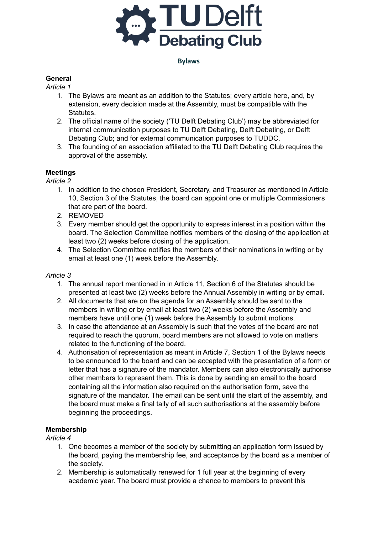

# **General**

*Article 1*

- 1. The Bylaws are meant as an addition to the Statutes; every article here, and, by extension, every decision made at the Assembly, must be compatible with the Statutes.
- 2. The official name of the society ('TU Delft Debating Club') may be abbreviated for internal communication purposes to TU Delft Debating, Delft Debating, or Delft Debating Club; and for external communication purposes to TUDDC.
- 3. The founding of an association affiliated to the TU Delft Debating Club requires the approval of the assembly.

## **Meetings**

*Article 2*

- 1. In addition to the chosen President, Secretary, and Treasurer as mentioned in Article 10, Section 3 of the Statutes, the board can appoint one or multiple Commissioners that are part of the board.
- 2. REMOVED
- 3. Every member should get the opportunity to express interest in a position within the board. The Selection Committee notifies members of the closing of the application at least two (2) weeks before closing of the application.
- 4. The Selection Committee notifies the members of their nominations in writing or by email at least one (1) week before the Assembly.

### *Article 3*

- 1. The annual report mentioned in in Article 11, Section 6 of the Statutes should be presented at least two (2) weeks before the Annual Assembly in writing or by email.
- 2. All documents that are on the agenda for an Assembly should be sent to the members in writing or by email at least two (2) weeks before the Assembly and members have until one (1) week before the Assembly to submit motions.
- 3. In case the attendance at an Assembly is such that the votes of the board are not required to reach the quorum, board members are not allowed to vote on matters related to the functioning of the board.
- 4. Authorisation of representation as meant in Article 7, Section 1 of the Bylaws needs to be announced to the board and can be accepted with the presentation of a form or letter that has a signature of the mandator. Members can also electronically authorise other members to represent them. This is done by sending an email to the board containing all the information also required on the authorisation form, save the signature of the mandator. The email can be sent until the start of the assembly, and the board must make a final tally of all such authorisations at the assembly before beginning the proceedings.

## **Membership**

### *Article 4*

- 1. One becomes a member of the society by submitting an application form issued by the board, paying the membership fee, and acceptance by the board as a member of the society.
- 2. Membership is automatically renewed for 1 full year at the beginning of every academic year. The board must provide a chance to members to prevent this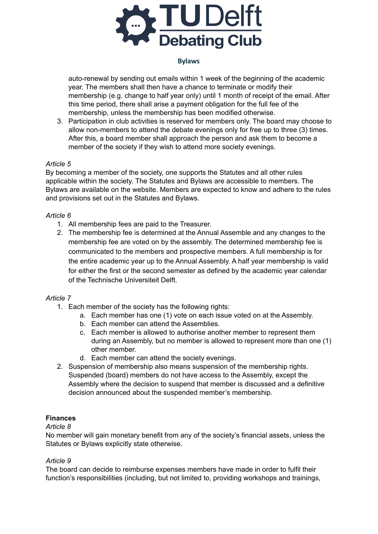

auto-renewal by sending out emails within 1 week of the beginning of the academic year. The members shall then have a chance to terminate or modify their membership (e.g. change to half year only) until 1 month of receipt of the email. After this time period, there shall arise a payment obligation for the full fee of the membership, unless the membership has been modified otherwise.

3. Participation in club activities is reserved for members only. The board may choose to allow non-members to attend the debate evenings only for free up to three (3) times. After this, a board member shall approach the person and ask them to become a member of the society if they wish to attend more society evenings.

### *Article 5*

By becoming a member of the society, one supports the Statutes and all other rules applicable within the society. The Statutes and Bylaws are accessible to members. The Bylaws are available on the website. Members are expected to know and adhere to the rules and provisions set out in the Statutes and Bylaws.

### *Article 6*

- 1. All membership fees are paid to the Treasurer.
- 2. The membership fee is determined at the Annual Assemble and any changes to the membership fee are voted on by the assembly. The determined membership fee is communicated to the members and prospective members. A full membership is for the entire academic year up to the Annual Assembly. A half year membership is valid for either the first or the second semester as defined by the academic year calendar of the Technische Universiteit Delft.

### *Article 7*

- 1. Each member of the society has the following rights:
	- a. Each member has one (1) vote on each issue voted on at the Assembly.
	- b. Each member can attend the Assemblies.
	- c. Each member is allowed to authorise another member to represent them during an Assembly, but no member is allowed to represent more than one (1) other member.
	- d. Each member can attend the society evenings.
- 2. Suspension of membership also means suspension of the membership rights. Suspended (board) members do not have access to the Assembly, except the Assembly where the decision to suspend that member is discussed and a definitive decision announced about the suspended member's membership.

## **Finances**

### *Article 8*

No member will gain monetary benefit from any of the society's financial assets, unless the Statutes or Bylaws explicitly state otherwise.

### *Article 9*

The board can decide to reimburse expenses members have made in order to fulfil their function's responsibilities (including, but not limited to, providing workshops and trainings,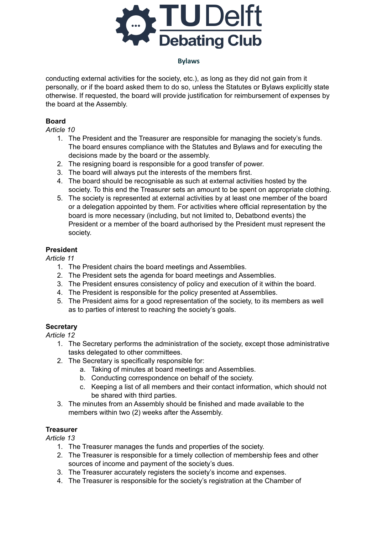

conducting external activities for the society, etc.), as long as they did not gain from it personally, or if the board asked them to do so, unless the Statutes or Bylaws explicitly state otherwise. If requested, the board will provide justification for reimbursement of expenses by the board at the Assembly.

## **Board**

*Article 10*

- 1. The President and the Treasurer are responsible for managing the society's funds. The board ensures compliance with the Statutes and Bylaws and for executing the decisions made by the board or the assembly.
- 2. The resigning board is responsible for a good transfer of power.
- 3. The board will always put the interests of the members first.
- 4. The board should be recognisable as such at external activities hosted by the society. To this end the Treasurer sets an amount to be spent on appropriate clothing.
- 5. The society is represented at external activities by at least one member of the board or a delegation appointed by them. For activities where official representation by the board is more necessary (including, but not limited to, Debatbond events) the President or a member of the board authorised by the President must represent the society.

# **President**

*Article 11*

- 1. The President chairs the board meetings and Assemblies.
- 2. The President sets the agenda for board meetings and Assemblies.
- 3. The President ensures consistency of policy and execution of it within the board.
- 4. The President is responsible for the policy presented at Assemblies.
- 5. The President aims for a good representation of the society, to its members as well as to parties of interest to reaching the society's goals.

## **Secretary**

*Article 12*

- 1. The Secretary performs the administration of the society, except those administrative tasks delegated to other committees.
- 2. The Secretary is specifically responsible for:
	- a. Taking of minutes at board meetings and Assemblies.
	- b. Conducting correspondence on behalf of the society.
	- c. Keeping a list of all members and their contact information, which should not be shared with third parties.
- 3. The minutes from an Assembly should be finished and made available to the members within two (2) weeks after the Assembly.

## **Treasurer**

*Article 13*

- 1. The Treasurer manages the funds and properties of the society.
- 2. The Treasurer is responsible for a timely collection of membership fees and other sources of income and payment of the society's dues.
- 3. The Treasurer accurately registers the society's income and expenses.
- 4. The Treasurer is responsible for the society's registration at the Chamber of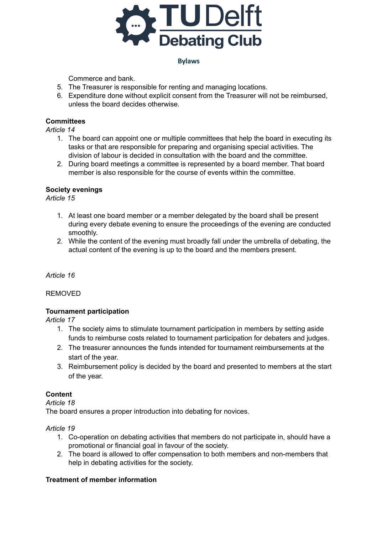

Commerce and bank.

- 5. The Treasurer is responsible for renting and managing locations.
- 6. Expenditure done without explicit consent from the Treasurer will not be reimbursed, unless the board decides otherwise.

### **Committees**

*Article 14*

- 1. The board can appoint one or multiple committees that help the board in executing its tasks or that are responsible for preparing and organising special activities. The division of labour is decided in consultation with the board and the committee.
- 2. During board meetings a committee is represented by a board member. That board member is also responsible for the course of events within the committee.

### **Society evenings**

*Article 15*

- 1. At least one board member or a member delegated by the board shall be present during every debate evening to ensure the proceedings of the evening are conducted smoothly.
- 2. While the content of the evening must broadly fall under the umbrella of debating, the actual content of the evening is up to the board and the members present.

*Article 16*

### REMOVED

### **Tournament participation**

*Article 17*

- 1. The society aims to stimulate tournament participation in members by setting aside funds to reimburse costs related to tournament participation for debaters and judges.
- 2. The treasurer announces the funds intended for tournament reimbursements at the start of the year.
- 3. Reimbursement policy is decided by the board and presented to members at the start of the year.

## **Content**

### *Article 18*

The board ensures a proper introduction into debating for novices.

### *Article 19*

- 1. Co-operation on debating activities that members do not participate in, should have a promotional or financial goal in favour of the society.
- 2. The board is allowed to offer compensation to both members and non-members that help in debating activities for the society.

## **Treatment of member information**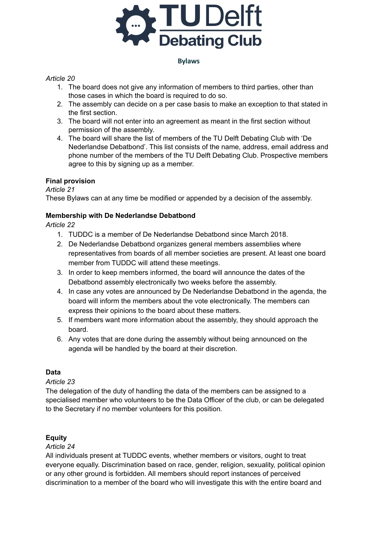

### *Article 20*

- 1. The board does not give any information of members to third parties, other than those cases in which the board is required to do so.
- 2. The assembly can decide on a per case basis to make an exception to that stated in the first section.
- 3. The board will not enter into an agreement as meant in the first section without permission of the assembly.
- 4. The board will share the list of members of the TU Delft Debating Club with 'De Nederlandse Debatbond'. This list consists of the name, address, email address and phone number of the members of the TU Delft Debating Club. Prospective members agree to this by signing up as a member.

## **Final provision**

*Article 21*

These Bylaws can at any time be modified or appended by a decision of the assembly.

## **Membership with De Nederlandse Debatbond**

*Article 22*

- 1. TUDDC is a member of De Nederlandse Debatbond since March 2018.
- 2. De Nederlandse Debatbond organizes general members assemblies where representatives from boards of all member societies are present. At least one board member from TUDDC will attend these meetings.
- 3. In order to keep members informed, the board will announce the dates of the Debatbond assembly electronically two weeks before the assembly.
- 4. In case any votes are announced by De Nederlandse Debatbond in the agenda, the board will inform the members about the vote electronically. The members can express their opinions to the board about these matters.
- 5. If members want more information about the assembly, they should approach the board.
- 6. Any votes that are done during the assembly without being announced on the agenda will be handled by the board at their discretion.

## **Data**

*Article 23*

The delegation of the duty of handling the data of the members can be assigned to a specialised member who volunteers to be the Data Officer of the club, or can be delegated to the Secretary if no member volunteers for this position.

## **Equity**

## *Article 24*

All individuals present at TUDDC events, whether members or visitors, ought to treat everyone equally. Discrimination based on race, gender, religion, sexuality, political opinion or any other ground is forbidden. All members should report instances of perceived discrimination to a member of the board who will investigate this with the entire board and